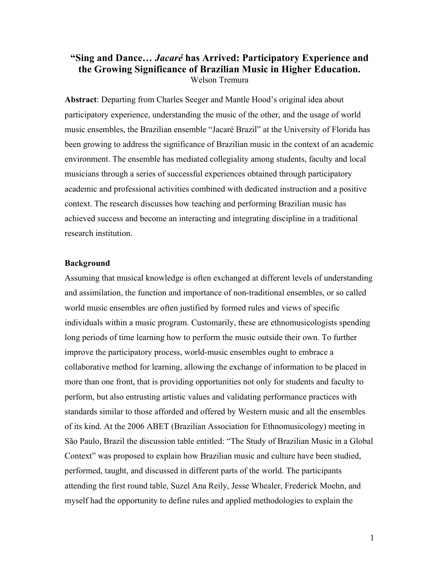# **"Sing and Dance…** *Jacaré* **has Arrived: Participatory Experience and the Growing Significance of Brazilian Music in Higher Education.** Welson Tremura

**Abstract**: Departing from Charles Seeger and Mantle Hood's original idea about participatory experience, understanding the music of the other, and the usage of world music ensembles, the Brazilian ensemble "Jacaré Brazil" at the University of Florida has been growing to address the significance of Brazilian music in the context of an academic environment. The ensemble has mediated collegiality among students, faculty and local musicians through a series of successful experiences obtained through participatory academic and professional activities combined with dedicated instruction and a positive context. The research discusses how teaching and performing Brazilian music has achieved success and become an interacting and integrating discipline in a traditional research institution.

## **Background**

Assuming that musical knowledge is often exchanged at different levels of understanding and assimilation, the function and importance of non-traditional ensembles, or so called world music ensembles are often justified by formed rules and views of specific individuals within a music program. Customarily, these are ethnomusicologists spending long periods of time learning how to perform the music outside their own. To further improve the participatory process, world-music ensembles ought to embrace a collaborative method for learning, allowing the exchange of information to be placed in more than one front, that is providing opportunities not only for students and faculty to perform, but also entrusting artistic values and validating performance practices with standards similar to those afforded and offered by Western music and all the ensembles of its kind. At the 2006 ABET (Brazilian Association for Ethnomusicology) meeting in São Paulo, Brazil the discussion table entitled: "The Study of Brazilian Music in a Global Context" was proposed to explain how Brazilian music and culture have been studied, performed, taught, and discussed in different parts of the world. The participants attending the first round table, Suzel Ana Reily, Jesse Whealer, Frederick Moehn, and myself had the opportunity to define rules and applied methodologies to explain the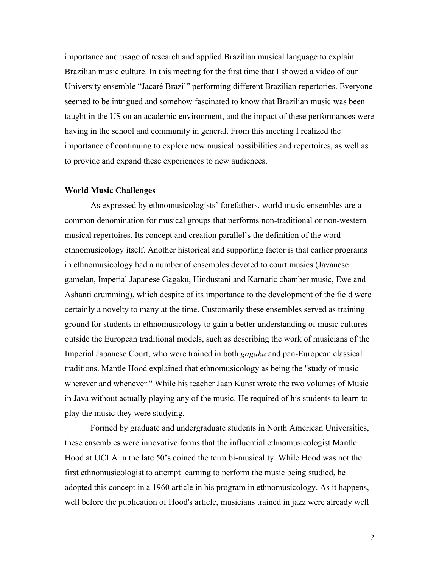importance and usage of research and applied Brazilian musical language to explain Brazilian music culture. In this meeting for the first time that I showed a video of our University ensemble "Jacaré Brazil" performing different Brazilian repertories. Everyone seemed to be intrigued and somehow fascinated to know that Brazilian music was been taught in the US on an academic environment, and the impact of these performances were having in the school and community in general. From this meeting I realized the importance of continuing to explore new musical possibilities and repertoires, as well as to provide and expand these experiences to new audiences.

## **World Music Challenges**

As expressed by ethnomusicologists' forefathers, world music ensembles are a common denomination for musical groups that performs non-traditional or non-western musical repertoires. Its concept and creation parallel's the definition of the word ethnomusicology itself. Another historical and supporting factor is that earlier programs in ethnomusicology had a number of ensembles devoted to court musics (Javanese gamelan, Imperial Japanese Gagaku, Hindustani and Karnatic chamber music, Ewe and Ashanti drumming), which despite of its importance to the development of the field were certainly a novelty to many at the time. Customarily these ensembles served as training ground for students in ethnomusicology to gain a better understanding of music cultures outside the European traditional models, such as describing the work of musicians of the Imperial Japanese Court, who were trained in both *gagaku* and pan-European classical traditions. Mantle Hood explained that ethnomusicology as being the "study of music wherever and whenever." While his teacher Jaap Kunst wrote the two volumes of Music in Java without actually playing any of the music. He required of his students to learn to play the music they were studying.

Formed by graduate and undergraduate students in North American Universities, these ensembles were innovative forms that the influential ethnomusicologist Mantle Hood at UCLA in the late 50's coined the term bi-musicality. While Hood was not the first ethnomusicologist to attempt learning to perform the music being studied, he adopted this concept in a 1960 article in his program in ethnomusicology. As it happens, well before the publication of Hood's article, musicians trained in jazz were already well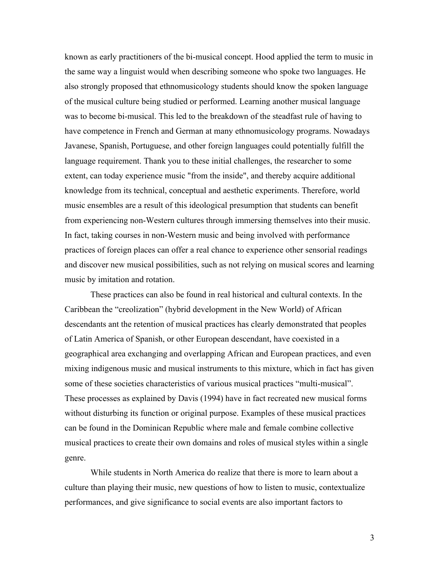known as early practitioners of the bi-musical concept. Hood applied the term to music in the same way a linguist would when describing someone who spoke two languages. He also strongly proposed that ethnomusicology students should know the spoken language of the musical culture being studied or performed. Learning another musical language was to become bi-musical. This led to the breakdown of the steadfast rule of having to have competence in French and German at many ethnomusicology programs. Nowadays Javanese, Spanish, Portuguese, and other foreign languages could potentially fulfill the language requirement. Thank you to these initial challenges, the researcher to some extent, can today experience music "from the inside", and thereby acquire additional knowledge from its technical, conceptual and aesthetic experiments. Therefore, world music ensembles are a result of this ideological presumption that students can benefit from experiencing non-Western cultures through immersing themselves into their music. In fact, taking courses in non-Western music and being involved with performance practices of foreign places can offer a real chance to experience other sensorial readings and discover new musical possibilities, such as not relying on musical scores and learning music by imitation and rotation.

These practices can also be found in real historical and cultural contexts. In the Caribbean the "creolization" (hybrid development in the New World) of African descendants ant the retention of musical practices has clearly demonstrated that peoples of Latin America of Spanish, or other European descendant, have coexisted in a geographical area exchanging and overlapping African and European practices, and even mixing indigenous music and musical instruments to this mixture, which in fact has given some of these societies characteristics of various musical practices "multi-musical". These processes as explained by Davis (1994) have in fact recreated new musical forms without disturbing its function or original purpose. Examples of these musical practices can be found in the Dominican Republic where male and female combine collective musical practices to create their own domains and roles of musical styles within a single genre.

While students in North America do realize that there is more to learn about a culture than playing their music, new questions of how to listen to music, contextualize performances, and give significance to social events are also important factors to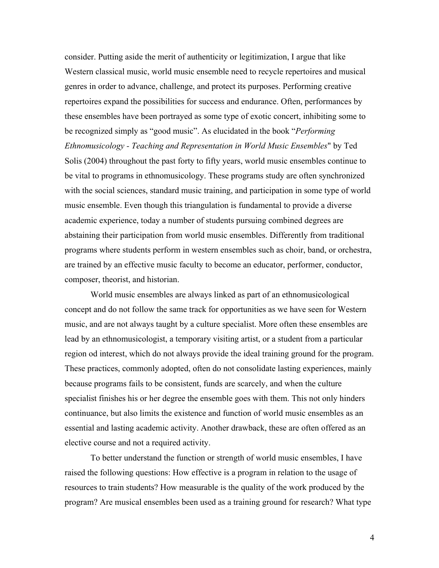consider. Putting aside the merit of authenticity or legitimization, I argue that like Western classical music, world music ensemble need to recycle repertoires and musical genres in order to advance, challenge, and protect its purposes. Performing creative repertoires expand the possibilities for success and endurance. Often, performances by these ensembles have been portrayed as some type of exotic concert, inhibiting some to be recognized simply as "good music". As elucidated in the book "*Performing Ethnomusicology - Teaching and Representation in World Music Ensembles*" by Ted Solis (2004) throughout the past forty to fifty years, world music ensembles continue to be vital to programs in ethnomusicology. These programs study are often synchronized with the social sciences, standard music training, and participation in some type of world music ensemble. Even though this triangulation is fundamental to provide a diverse academic experience, today a number of students pursuing combined degrees are abstaining their participation from world music ensembles. Differently from traditional programs where students perform in western ensembles such as choir, band, or orchestra, are trained by an effective music faculty to become an educator, performer, conductor, composer, theorist, and historian.

World music ensembles are always linked as part of an ethnomusicological concept and do not follow the same track for opportunities as we have seen for Western music, and are not always taught by a culture specialist. More often these ensembles are lead by an ethnomusicologist, a temporary visiting artist, or a student from a particular region od interest, which do not always provide the ideal training ground for the program. These practices, commonly adopted, often do not consolidate lasting experiences, mainly because programs fails to be consistent, funds are scarcely, and when the culture specialist finishes his or her degree the ensemble goes with them. This not only hinders continuance, but also limits the existence and function of world music ensembles as an essential and lasting academic activity. Another drawback, these are often offered as an elective course and not a required activity.

To better understand the function or strength of world music ensembles, I have raised the following questions: How effective is a program in relation to the usage of resources to train students? How measurable is the quality of the work produced by the program? Are musical ensembles been used as a training ground for research? What type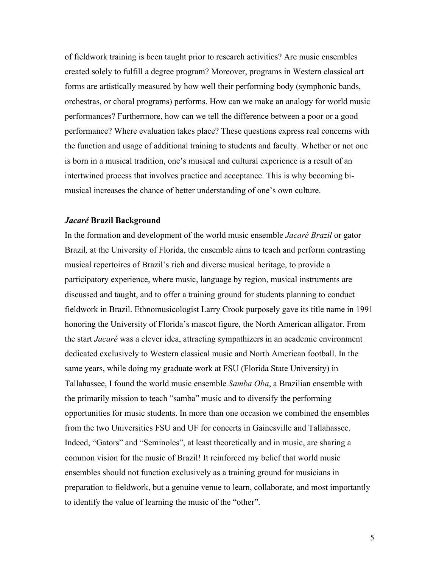of fieldwork training is been taught prior to research activities? Are music ensembles created solely to fulfill a degree program? Moreover, programs in Western classical art forms are artistically measured by how well their performing body (symphonic bands, orchestras, or choral programs) performs. How can we make an analogy for world music performances? Furthermore, how can we tell the difference between a poor or a good performance? Where evaluation takes place? These questions express real concerns with the function and usage of additional training to students and faculty. Whether or not one is born in a musical tradition, one's musical and cultural experience is a result of an intertwined process that involves practice and acceptance. This is why becoming bimusical increases the chance of better understanding of one's own culture.

## *Jacaré* **Brazil Background**

In the formation and development of the world music ensemble *Jacaré Brazil* or gator Brazil*,* at the University of Florida, the ensemble aims to teach and perform contrasting musical repertoires of Brazil's rich and diverse musical heritage, to provide a participatory experience, where music, language by region, musical instruments are discussed and taught, and to offer a training ground for students planning to conduct fieldwork in Brazil. Ethnomusicologist Larry Crook purposely gave its title name in 1991 honoring the University of Florida's mascot figure, the North American alligator. From the start *Jacaré* was a clever idea, attracting sympathizers in an academic environment dedicated exclusively to Western classical music and North American football. In the same years, while doing my graduate work at FSU (Florida State University) in Tallahassee, I found the world music ensemble *Samba Oba*, a Brazilian ensemble with the primarily mission to teach "samba" music and to diversify the performing opportunities for music students. In more than one occasion we combined the ensembles from the two Universities FSU and UF for concerts in Gainesville and Tallahassee. Indeed, "Gators" and "Seminoles", at least theoretically and in music, are sharing a common vision for the music of Brazil! It reinforced my belief that world music ensembles should not function exclusively as a training ground for musicians in preparation to fieldwork, but a genuine venue to learn, collaborate, and most importantly to identify the value of learning the music of the "other".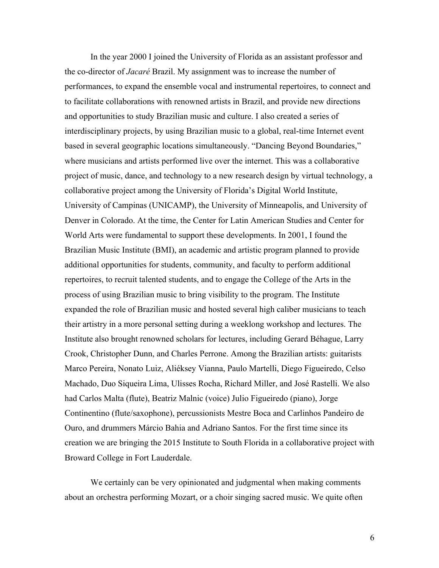In the year 2000 I joined the University of Florida as an assistant professor and the co-director of *Jacaré* Brazil. My assignment was to increase the number of performances, to expand the ensemble vocal and instrumental repertoires, to connect and to facilitate collaborations with renowned artists in Brazil, and provide new directions and opportunities to study Brazilian music and culture. I also created a series of interdisciplinary projects, by using Brazilian music to a global, real-time Internet event based in several geographic locations simultaneously. "Dancing Beyond Boundaries," where musicians and artists performed live over the internet. This was a collaborative project of music, dance, and technology to a new research design by virtual technology, a collaborative project among the University of Florida's Digital World Institute, University of Campinas (UNICAMP), the University of Minneapolis, and University of Denver in Colorado. At the time, the Center for Latin American Studies and Center for World Arts were fundamental to support these developments. In 2001, I found the Brazilian Music Institute (BMI), an academic and artistic program planned to provide additional opportunities for students, community, and faculty to perform additional repertoires, to recruit talented students, and to engage the College of the Arts in the process of using Brazilian music to bring visibility to the program. The Institute expanded the role of Brazilian music and hosted several high caliber musicians to teach their artistry in a more personal setting during a weeklong workshop and lectures. The Institute also brought renowned scholars for lectures, including Gerard Béhague, Larry Crook, Christopher Dunn, and Charles Perrone. Among the Brazilian artists: guitarists Marco Pereira, Nonato Luiz, Aliéksey Vianna, Paulo Martelli, Diego Figueiredo, Celso Machado, Duo Siqueira Lima, Ulisses Rocha, Richard Miller, and José Rastelli. We also had Carlos Malta (flute), Beatriz Malnic (voice) Julio Figueiredo (piano), Jorge Continentino (flute/saxophone), percussionists Mestre Boca and Carlinhos Pandeiro de Ouro, and drummers Márcio Bahia and Adriano Santos. For the first time since its creation we are bringing the 2015 Institute to South Florida in a collaborative project with Broward College in Fort Lauderdale.

We certainly can be very opinionated and judgmental when making comments about an orchestra performing Mozart, or a choir singing sacred music. We quite often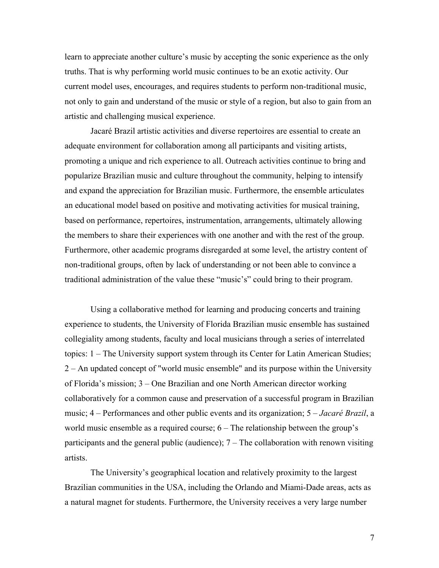learn to appreciate another culture's music by accepting the sonic experience as the only truths. That is why performing world music continues to be an exotic activity. Our current model uses, encourages, and requires students to perform non-traditional music, not only to gain and understand of the music or style of a region, but also to gain from an artistic and challenging musical experience.

Jacaré Brazil artistic activities and diverse repertoires are essential to create an adequate environment for collaboration among all participants and visiting artists, promoting a unique and rich experience to all. Outreach activities continue to bring and popularize Brazilian music and culture throughout the community, helping to intensify and expand the appreciation for Brazilian music. Furthermore, the ensemble articulates an educational model based on positive and motivating activities for musical training, based on performance, repertoires, instrumentation, arrangements, ultimately allowing the members to share their experiences with one another and with the rest of the group. Furthermore, other academic programs disregarded at some level, the artistry content of non-traditional groups, often by lack of understanding or not been able to convince a traditional administration of the value these "music's" could bring to their program.

Using a collaborative method for learning and producing concerts and training experience to students, the University of Florida Brazilian music ensemble has sustained collegiality among students, faculty and local musicians through a series of interrelated topics: 1 – The University support system through its Center for Latin American Studies; 2 – An updated concept of "world music ensemble" and its purpose within the University of Florida's mission; 3 – One Brazilian and one North American director working collaboratively for a common cause and preservation of a successful program in Brazilian music; 4 – Performances and other public events and its organization; 5 – *Jacaré Brazil*, a world music ensemble as a required course; 6 – The relationship between the group's participants and the general public (audience); 7 – The collaboration with renown visiting artists.

The University's geographical location and relatively proximity to the largest Brazilian communities in the USA, including the Orlando and Miami-Dade areas, acts as a natural magnet for students. Furthermore, the University receives a very large number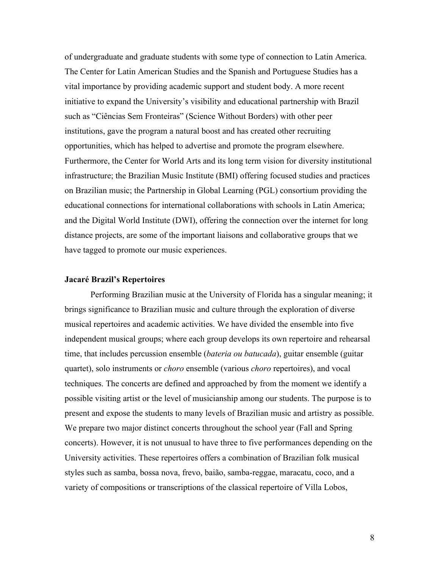of undergraduate and graduate students with some type of connection to Latin America. The Center for Latin American Studies and the Spanish and Portuguese Studies has a vital importance by providing academic support and student body. A more recent initiative to expand the University's visibility and educational partnership with Brazil such as "Ciências Sem Fronteiras" (Science Without Borders) with other peer institutions, gave the program a natural boost and has created other recruiting opportunities, which has helped to advertise and promote the program elsewhere. Furthermore, the Center for World Arts and its long term vision for diversity institutional infrastructure; the Brazilian Music Institute (BMI) offering focused studies and practices on Brazilian music; the Partnership in Global Learning (PGL) consortium providing the educational connections for international collaborations with schools in Latin America; and the Digital World Institute (DWI), offering the connection over the internet for long distance projects, are some of the important liaisons and collaborative groups that we have tagged to promote our music experiences.

### **Jacaré Brazil's Repertoires**

Performing Brazilian music at the University of Florida has a singular meaning; it brings significance to Brazilian music and culture through the exploration of diverse musical repertoires and academic activities. We have divided the ensemble into five independent musical groups; where each group develops its own repertoire and rehearsal time, that includes percussion ensemble (*bateria ou batucada*), guitar ensemble (guitar quartet), solo instruments or *choro* ensemble (various *choro* repertoires), and vocal techniques. The concerts are defined and approached by from the moment we identify a possible visiting artist or the level of musicianship among our students. The purpose is to present and expose the students to many levels of Brazilian music and artistry as possible. We prepare two major distinct concerts throughout the school year (Fall and Spring concerts). However, it is not unusual to have three to five performances depending on the University activities. These repertoires offers a combination of Brazilian folk musical styles such as samba, bossa nova, frevo, baião, samba-reggae, maracatu, coco, and a variety of compositions or transcriptions of the classical repertoire of Villa Lobos,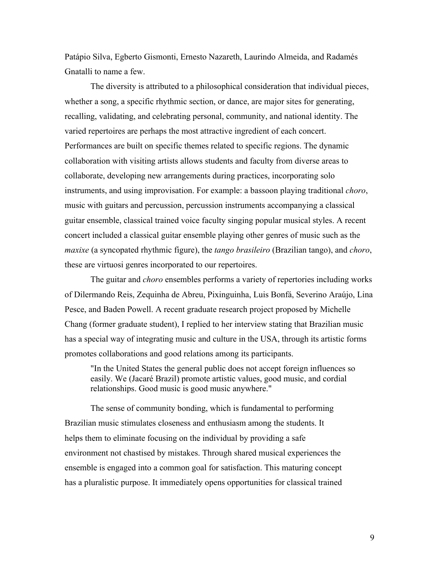Patápio Silva, Egberto Gismonti, Ernesto Nazareth, Laurindo Almeida, and Radamés Gnatalli to name a few.

The diversity is attributed to a philosophical consideration that individual pieces, whether a song, a specific rhythmic section, or dance, are major sites for generating, recalling, validating, and celebrating personal, community, and national identity. The varied repertoires are perhaps the most attractive ingredient of each concert. Performances are built on specific themes related to specific regions. The dynamic collaboration with visiting artists allows students and faculty from diverse areas to collaborate, developing new arrangements during practices, incorporating solo instruments, and using improvisation. For example: a bassoon playing traditional *choro*, music with guitars and percussion, percussion instruments accompanying a classical guitar ensemble, classical trained voice faculty singing popular musical styles. A recent concert included a classical guitar ensemble playing other genres of music such as the *maxixe* (a syncopated rhythmic figure), the *tango brasileiro* (Brazilian tango), and *choro*, these are virtuosi genres incorporated to our repertoires.

The guitar and *choro* ensembles performs a variety of repertories including works of Dilermando Reis, Zequinha de Abreu, Pixinguinha, Luis Bonfá, Severino Araújo, Lina Pesce, and Baden Powell. A recent graduate research project proposed by Michelle Chang (former graduate student), I replied to her interview stating that Brazilian music has a special way of integrating music and culture in the USA, through its artistic forms promotes collaborations and good relations among its participants.

"In the United States the general public does not accept foreign influences so easily. We (Jacaré Brazil) promote artistic values, good music, and cordial relationships. Good music is good music anywhere."

The sense of community bonding, which is fundamental to performing Brazilian music stimulates closeness and enthusiasm among the students. It helps them to eliminate focusing on the individual by providing a safe environment not chastised by mistakes. Through shared musical experiences the ensemble is engaged into a common goal for satisfaction. This maturing concept has a pluralistic purpose. It immediately opens opportunities for classical trained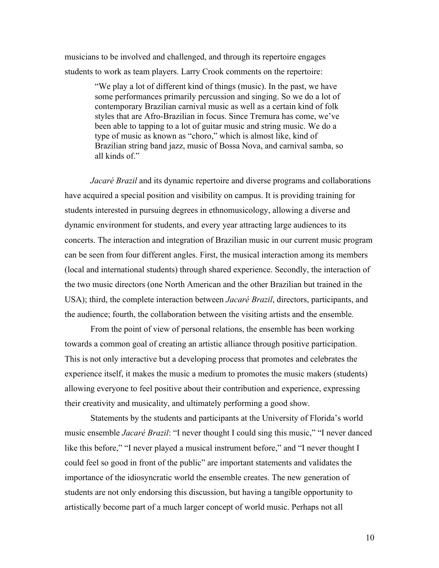musicians to be involved and challenged, and through its repertoire engages students to work as team players. Larry Crook comments on the repertoire:

> "We play a lot of different kind of things (music). In the past, we have some performances primarily percussion and singing. So we do a lot of contemporary Brazilian carnival music as well as a certain kind of folk styles that are Afro-Brazilian in focus. Since Tremura has come, we've been able to tapping to a lot of guitar music and string music. We do a type of music as known as "choro," which is almost like, kind of Brazilian string band jazz, music of Bossa Nova, and carnival samba, so all kinds of"

*Jacaré Brazil* and its dynamic repertoire and diverse programs and collaborations have acquired a special position and visibility on campus. It is providing training for students interested in pursuing degrees in ethnomusicology, allowing a diverse and dynamic environment for students, and every year attracting large audiences to its concerts. The interaction and integration of Brazilian music in our current music program can be seen from four different angles. First, the musical interaction among its members (local and international students) through shared experience. Secondly, the interaction of the two music directors (one North American and the other Brazilian but trained in the USA); third, the complete interaction between *Jacaré Brazil*, directors, participants, and the audience; fourth, the collaboration between the visiting artists and the ensemble*.* 

From the point of view of personal relations, the ensemble has been working towards a common goal of creating an artistic alliance through positive participation. This is not only interactive but a developing process that promotes and celebrates the experience itself, it makes the music a medium to promotes the music makers (students) allowing everyone to feel positive about their contribution and experience, expressing their creativity and musicality, and ultimately performing a good show.

Statements by the students and participants at the University of Florida's world music ensemble *Jacaré Brazil*: "I never thought I could sing this music," "I never danced like this before," "I never played a musical instrument before," and "I never thought I could feel so good in front of the public" are important statements and validates the importance of the idiosyncratic world the ensemble creates. The new generation of students are not only endorsing this discussion, but having a tangible opportunity to artistically become part of a much larger concept of world music. Perhaps not all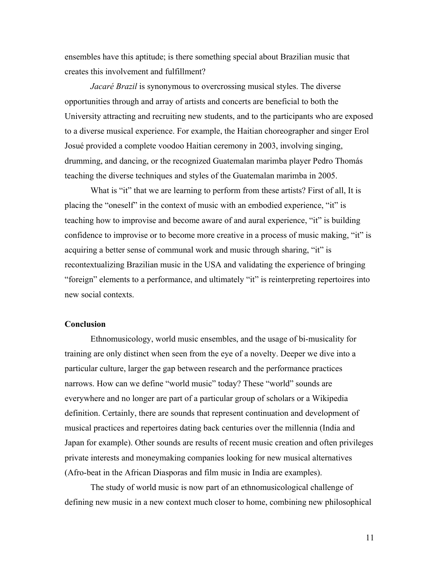ensembles have this aptitude; is there something special about Brazilian music that creates this involvement and fulfillment?

*Jacaré Brazil* is synonymous to overcrossing musical styles. The diverse opportunities through and array of artists and concerts are beneficial to both the University attracting and recruiting new students, and to the participants who are exposed to a diverse musical experience. For example, the Haitian choreographer and singer Erol Josué provided a complete voodoo Haitian ceremony in 2003, involving singing, drumming, and dancing, or the recognized Guatemalan marimba player Pedro Thomás teaching the diverse techniques and styles of the Guatemalan marimba in 2005.

What is "it" that we are learning to perform from these artists? First of all, It is placing the "oneself" in the context of music with an embodied experience, "it" is teaching how to improvise and become aware of and aural experience, "it" is building confidence to improvise or to become more creative in a process of music making, "it" is acquiring a better sense of communal work and music through sharing, "it" is recontextualizing Brazilian music in the USA and validating the experience of bringing "foreign" elements to a performance, and ultimately "it" is reinterpreting repertoires into new social contexts.

### **Conclusion**

Ethnomusicology, world music ensembles, and the usage of bi-musicality for training are only distinct when seen from the eye of a novelty. Deeper we dive into a particular culture, larger the gap between research and the performance practices narrows. How can we define "world music" today? These "world" sounds are everywhere and no longer are part of a particular group of scholars or a Wikipedia definition. Certainly, there are sounds that represent continuation and development of musical practices and repertoires dating back centuries over the millennia (India and Japan for example). Other sounds are results of recent music creation and often privileges private interests and moneymaking companies looking for new musical alternatives (Afro-beat in the African Diasporas and film music in India are examples).

The study of world music is now part of an ethnomusicological challenge of defining new music in a new context much closer to home, combining new philosophical